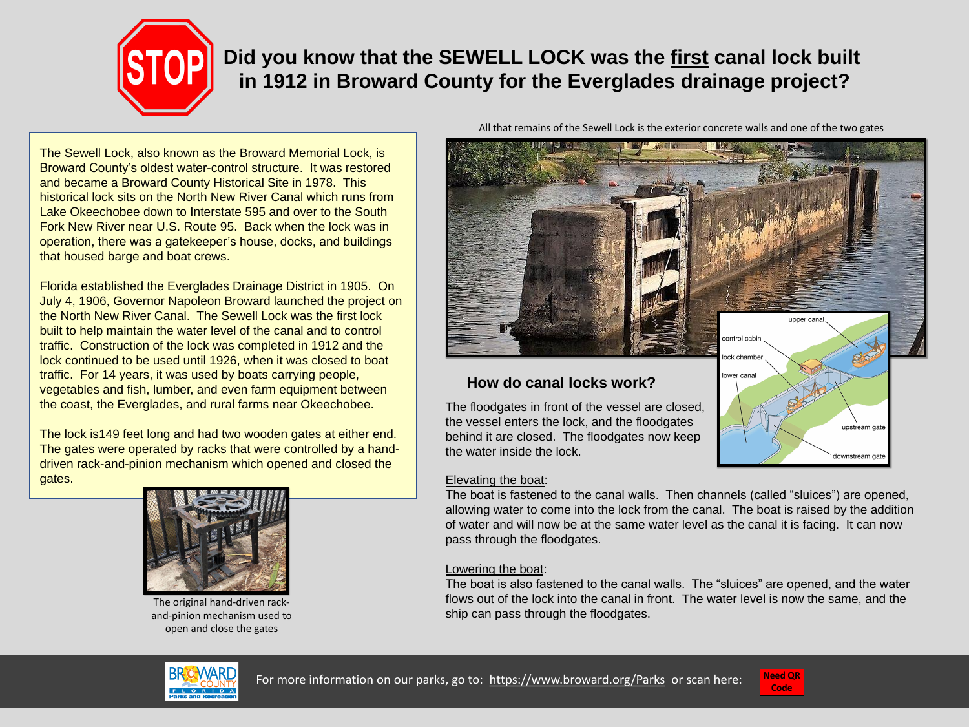



The Sewell Lock, also known as the Broward Memorial Lock, is Broward County's oldest water-control structure. It was restored and became a Broward County Historical Site in 1978. This historical lock sits on the North New River Canal which runs from Lake Okeechobee down to Interstate 595 and over to the South Fork New River near U.S. Route 95. Back when the lock was in operation, there was a gatekeeper's house, docks, and buildings that housed barge and boat crews.

Florida established the Everglades Drainage District in 1905. On July 4, 1906, Governor Napoleon Broward launched the project on the North New River Canal. The Sewell Lock was the first lock built to help maintain the water level of the canal and to control traffic. Construction of the lock was completed in 1912 and the lock continued to be used until 1926, when it was closed to boat traffic. For 14 years, it was used by boats carrying people, vegetables and fish, lumber, and even farm equipment between the coast, the Everglades, and rural farms near Okeechobee.

The lock is149 feet long and had two wooden gates at either end. The gates were operated by racks that were controlled by a handdriven rack-and-pinion mechanism which opened and closed the gates.



The original hand-driven rackand-pinion mechanism used to open and close the gates





the vessel enters the lock, and the floodgates behind it are closed. The floodgates now keep the water inside the lock.

Elevating the boat: The boat is fastened to the canal walls. Then channels (called "sluices") are opened, allowing water to come into the lock from the canal. The boat is raised by the addition of water and will now be at the same water level as the canal it is facing. It can now pass through the floodgates.

Lowering the boat: The boat is also fastened to the canal walls. The "sluices" are opened, and the water flows out of the lock into the canal in front. The water level is now the same, and the ship can pass through the floodgates.

# **Did you know that the SEWELL LOCK was the first canal lock built in 1912 in Broward County for the Everglades drainage project?**

All that remains of the Sewell Lock is the exterior concrete walls and one of the two gates